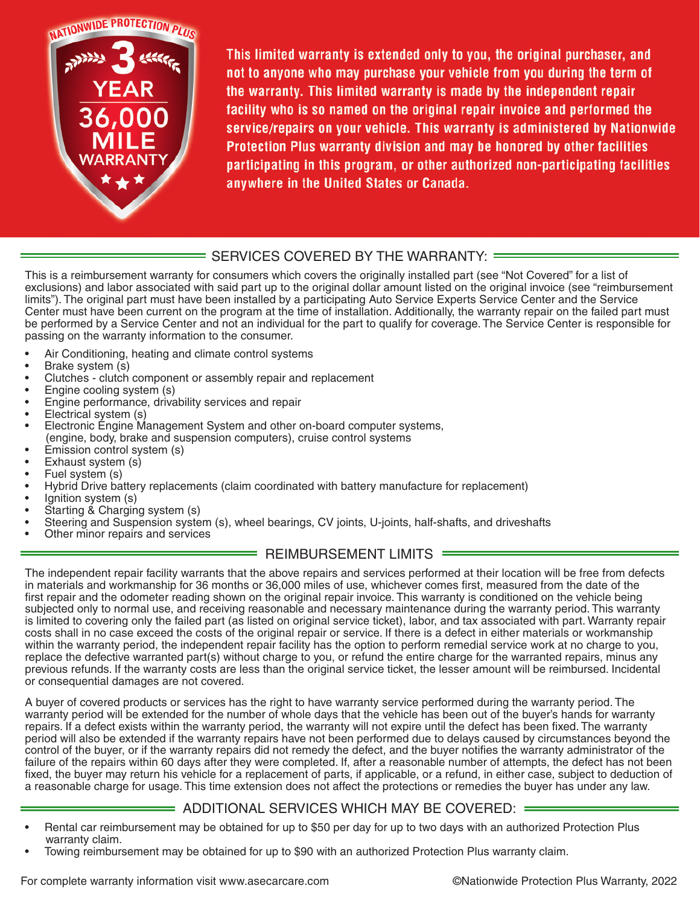

This limited warranty is extended only to you, the original purchaser, and not to anyone who may purchase your vehicle from you during the term of the warranty. This limited warranty is made by the independent repair facility who is so named on the original repair invoice and performed the service/repairs on your vehicle. This warranty is administered by Nationwide Protection Plus warranty division and may be honored by other facilities participating in this program, or other authorized non-participating facilities anywhere in the United States or Canada.

## = SERVICES COVERED BY THE WARRANTY: =

This is a reimbursement warranty for consumers which covers the originally installed part (see "Not Covered" for a list of exclusions) and labor associated with said part up to the original dollar amount listed on the original invoice (see "reimbursement limits"). The original part must have been installed by a participating Auto Service Experts Service Center and the Service Center must have been current on the program at the time of installation. Additionally, the warranty repair on the failed part must be performed by a Service Center and not an individual for the part to qualify for coverage. The Service Center is responsible for passing on the warranty information to the consumer.

- Air Conditioning, heating and climate control systems
- Brake system (s)
- Clutches clutch component or assembly repair and replacement
- Engine cooling system (s)
- Engine performance, drivability services and repair
- Electrical system (s)
- Electronic Engine Management System and other on-board computer systems, (engine, body, brake and suspension computers), cruise control systems
- Emission control system (s)
- Exhaust system (s)
- Fuel system (s)
- Hybrid Drive battery replacements (claim coordinated with battery manufacture for replacement)
- Ignition system (s)
- Starting & Charging system (s)
- Steering and Suspension system (s), wheel bearings, CV joints, U-joints, half-shafts, and driveshafts
- Other minor repairs and services

## REIMBURSEMENT LIMITS =

The independent repair facility warrants that the above repairs and services performed at their location will be free from defects in materials and workmanship for 36 months or 36,000 miles of use, whichever comes first, measured from the date of the first repair and the odometer reading shown on the original repair invoice. This warranty is conditioned on the vehicle being subjected only to normal use, and receiving reasonable and necessary maintenance during the warranty period. This warranty is limited to covering only the failed part (as listed on original service ticket), labor, and tax associated with part. Warranty repair costs shall in no case exceed the costs of the original repair or service. If there is a defect in either materials or workmanship within the warranty period, the independent repair facility has the option to perform remedial service work at no charge to you, replace the defective warranted part(s) without charge to you, or refund the entire charge for the warranted repairs, minus any previous refunds. If the warranty costs are less than the original service ticket, the lesser amount will be reimbursed. Incidental or consequential damages are not covered.

A buyer of covered products or services has the right to have warranty service performed during the warranty period. The warranty period will be extended for the number of whole days that the vehicle has been out of the buyer's hands for warranty repairs. If a defect exists within the warranty period, the warranty will not expire until the defect has been fixed. The warranty period will also be extended if the warranty repairs have not been performed due to delays caused by circumstances beyond the control of the buyer, or if the warranty repairs did not remedy the defect, and the buyer notifies the warranty administrator of the failure of the repairs within 60 days after they were completed. If, after a reasonable number of attempts, the defect has not been fixed, the buyer may return his vehicle for a replacement of parts, if applicable, or a refund, in either case, subject to deduction of a reasonable charge for usage. This time extension does not affect the protections or remedies the buyer has under any law.

## ADDITIONAL SERVICES WHICH MAY BE COVERED:

- Rental car reimbursement may be obtained for up to \$50 per day for up to two days with an authorized Protection Plus warranty claim.
- Towing reimbursement may be obtained for up to \$90 with an authorized Protection Plus warranty claim.